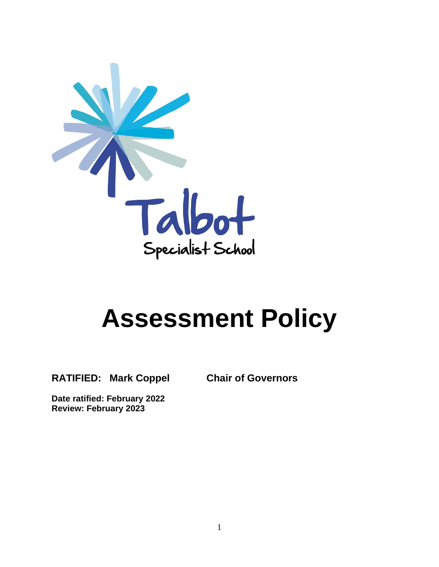

# **Assessment Policy**

**RATIFIED: Mark Coppel Chair of Governors** 

**Date ratified: February 2022 Review: February 2023**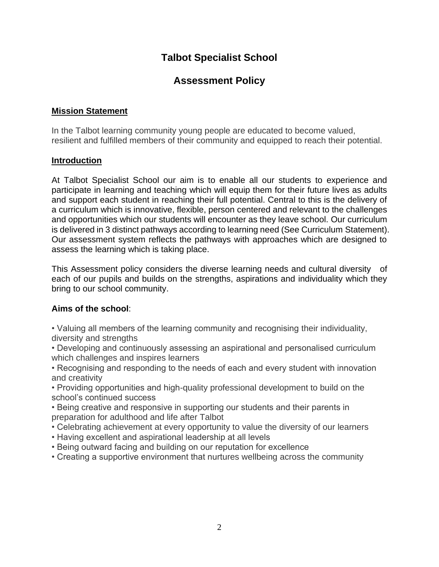# **Talbot Specialist School**

# **Assessment Policy**

### **Mission Statement**

In the Talbot learning community young people are educated to become valued, resilient and fulfilled members of their community and equipped to reach their potential.

#### **Introduction**

At Talbot Specialist School our aim is to enable all our students to experience and participate in learning and teaching which will equip them for their future lives as adults and support each student in reaching their full potential. Central to this is the delivery of a curriculum which is innovative, flexible, person centered and relevant to the challenges and opportunities which our students will encounter as they leave school. Our curriculum is delivered in 3 distinct pathways according to learning need (See Curriculum Statement). Our assessment system reflects the pathways with approaches which are designed to assess the learning which is taking place.

This Assessment policy considers the diverse learning needs and cultural diversity of each of our pupils and builds on the strengths, aspirations and individuality which they bring to our school community.

## **Aims of the school**:

• Valuing all members of the learning community and recognising their individuality, diversity and strengths

• Developing and continuously assessing an aspirational and personalised curriculum which challenges and inspires learners

• Recognising and responding to the needs of each and every student with innovation and creativity

• Providing opportunities and high-quality professional development to build on the school's continued success

• Being creative and responsive in supporting our students and their parents in preparation for adulthood and life after Talbot

- Celebrating achievement at every opportunity to value the diversity of our learners
- Having excellent and aspirational leadership at all levels
- Being outward facing and building on our reputation for excellence
- Creating a supportive environment that nurtures wellbeing across the community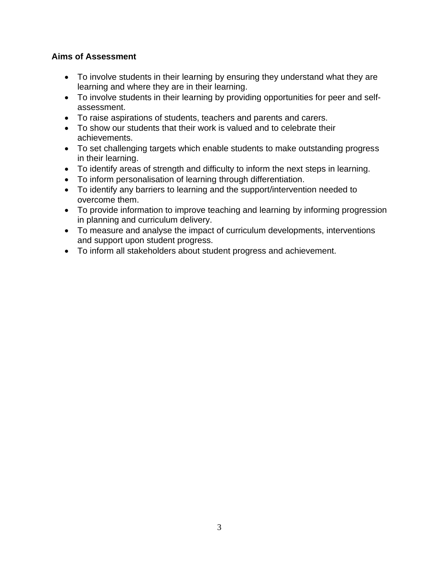### **Aims of Assessment**

- To involve students in their learning by ensuring they understand what they are learning and where they are in their learning.
- To involve students in their learning by providing opportunities for peer and selfassessment.
- To raise aspirations of students, teachers and parents and carers.
- To show our students that their work is valued and to celebrate their achievements.
- To set challenging targets which enable students to make outstanding progress in their learning.
- To identify areas of strength and difficulty to inform the next steps in learning.
- To inform personalisation of learning through differentiation.
- To identify any barriers to learning and the support/intervention needed to overcome them.
- To provide information to improve teaching and learning by informing progression in planning and curriculum delivery.
- To measure and analyse the impact of curriculum developments, interventions and support upon student progress.
- To inform all stakeholders about student progress and achievement.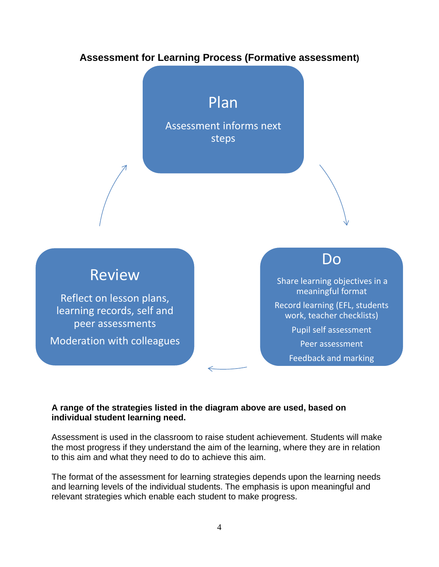# **Assessment for Learning Process (Formative assessment)**

# Plan

Assessment informs next steps



# Review

Reflect on lesson plans, learning records, self and peer assessments

Moderation with colleagues

# Do

Share learning objectives in a meaningful format Record learning (EFL, students work, teacher checklists) Pupil self assessment Peer assessment

Feedback and marking

#### **A range of the strategies listed in the diagram above are used, based on individual student learning need.**

Assessment is used in the classroom to raise student achievement. Students will make the most progress if they understand the aim of the learning, where they are in relation to this aim and what they need to do to achieve this aim.

The format of the assessment for learning strategies depends upon the learning needs and learning levels of the individual students. The emphasis is upon meaningful and relevant strategies which enable each student to make progress.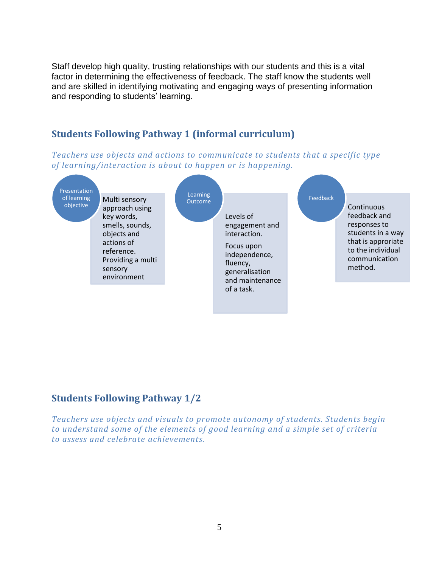Staff develop high quality, trusting relationships with our students and this is a vital factor in determining the effectiveness of feedback. The staff know the students well and are skilled in identifying motivating and engaging ways of presenting information and responding to students' learning.

# **Students Following Pathway 1 (informal curriculum)**

*Teachers use objects and actions to communicate to students that a specific type of learning/interaction is about to happen or is happening.*



# **Students Following Pathway 1/2**

*Teachers use objects and visuals to promote autonomy of students. Students begin to understand some of the elements of good learning and a simple set of criteria to assess and celebrate achievements.*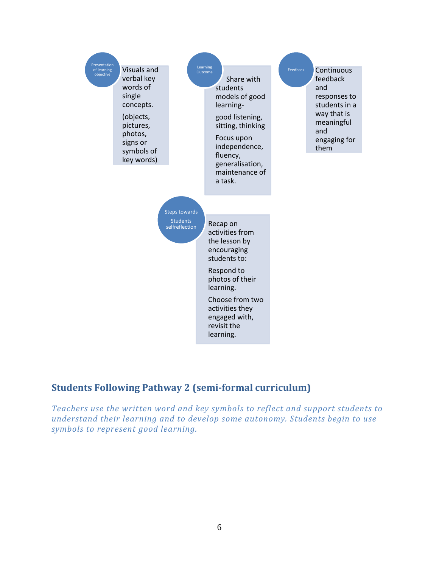

# **Students Following Pathway 2 (semi-formal curriculum)**

*Teachers use the written word and key symbols to reflect and support students to understand their learning and to develop some autonomy. Students begin to use symbols to represent good learning.*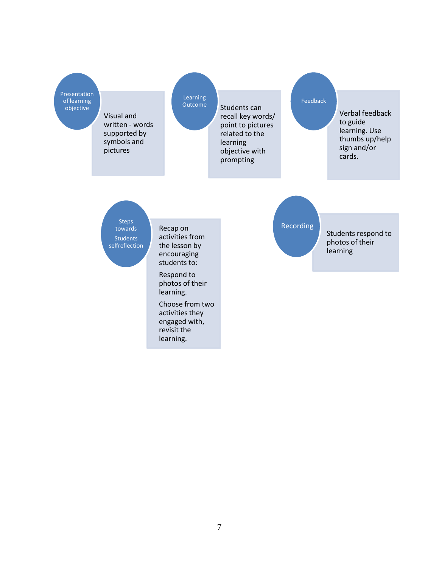Presentation of learning<br>objective

Visual and written - words supported by symbols and pictures

Learning Outcome

Students can recall key words/ point to pictures related to the learning objective with prompting

#### Feedback

Verbal feedback to guide learning. Use thumbs up/help sign and/or cards.

**Steps** towards **Students** selfreflection

Recap on activities from the lesson by encouraging students to:

Respond to photos of their learning.

Choose from two activities they engaged with, revisit the learning.

Recording

Students respond to photos of their learning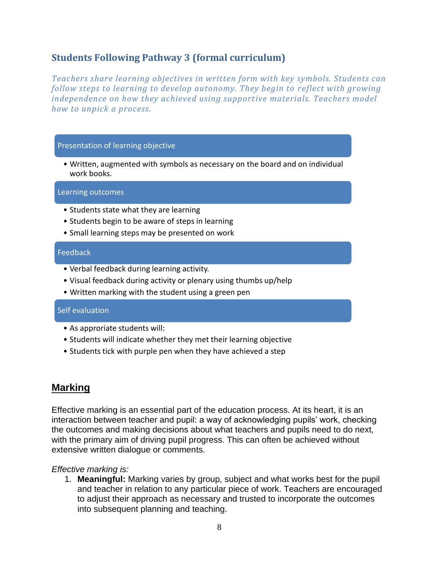# **Students Following Pathway 3 (formal curriculum)**

*Teachers share learning objectives in written form with key symbols. Students can follow steps to learning to develop autonomy. They begin to reflect with growing independence on how they achieved using supportive materials. Teachers model how to unpick a process.*

#### Presentation of learning objective

• Written, augmented with symbols as necessary on the board and on individual work books.

Learning outcomes

- Students state what they are learning
- Students begin to be aware of steps in learning
- Small learning steps may be presented on work

#### Feedback

- Verbal feedback during learning activity.
- Visual feedback during activity or plenary using thumbs up/help
- Written marking with the student using a green pen

#### Self evaluation

- As approriate students will:
- Students will indicate whether they met their learning objective
- Students tick with purple pen when they have achieved a step

# **Marking**

Effective marking is an essential part of the education process. At its heart, it is an interaction between teacher and pupil: a way of acknowledging pupils' work, checking the outcomes and making decisions about what teachers and pupils need to do next, with the primary aim of driving pupil progress. This can often be achieved without extensive written dialogue or comments.

#### *Effective marking is:*

1. **Meaningful:** Marking varies by group, subject and what works best for the pupil and teacher in relation to any particular piece of work. Teachers are encouraged to adjust their approach as necessary and trusted to incorporate the outcomes into subsequent planning and teaching.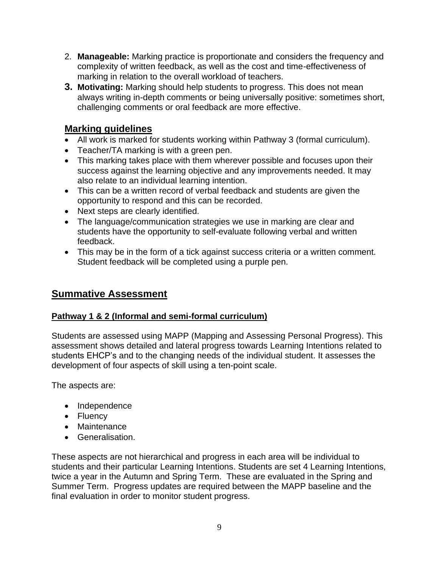- 2. **Manageable:** Marking practice is proportionate and considers the frequency and complexity of written feedback, as well as the cost and time-effectiveness of marking in relation to the overall workload of teachers.
- **3. Motivating:** Marking should help students to progress. This does not mean always writing in-depth comments or being universally positive: sometimes short, challenging comments or oral feedback are more effective.

# **Marking guidelines**

- All work is marked for students working within Pathway 3 (formal curriculum).
- Teacher/TA marking is with a green pen.
- This marking takes place with them wherever possible and focuses upon their success against the learning objective and any improvements needed. It may also relate to an individual learning intention.
- This can be a written record of verbal feedback and students are given the opportunity to respond and this can be recorded.
- Next steps are clearly identified.
- The language/communication strategies we use in marking are clear and students have the opportunity to self-evaluate following verbal and written feedback.
- This may be in the form of a tick against success criteria or a written comment. Student feedback will be completed using a purple pen.

# **Summative Assessment**

## **Pathway 1 & 2 (Informal and semi-formal curriculum)**

Students are assessed using MAPP (Mapping and Assessing Personal Progress). This assessment shows detailed and lateral progress towards Learning Intentions related to students EHCP's and to the changing needs of the individual student. It assesses the development of four aspects of skill using a ten-point scale.

The aspects are:

- Independence
- Fluency
- Maintenance
- Generalisation.

These aspects are not hierarchical and progress in each area will be individual to students and their particular Learning Intentions. Students are set 4 Learning Intentions, twice a year in the Autumn and Spring Term. These are evaluated in the Spring and Summer Term. Progress updates are required between the MAPP baseline and the final evaluation in order to monitor student progress.